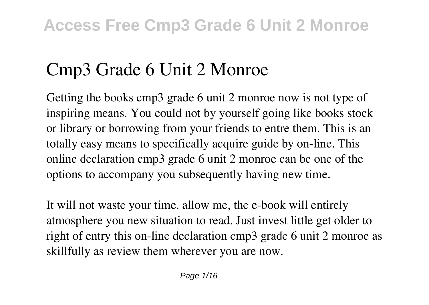# **Cmp3 Grade 6 Unit 2 Monroe**

Getting the books **cmp3 grade 6 unit 2 monroe** now is not type of inspiring means. You could not by yourself going like books stock or library or borrowing from your friends to entre them. This is an totally easy means to specifically acquire guide by on-line. This online declaration cmp3 grade 6 unit 2 monroe can be one of the options to accompany you subsequently having new time.

It will not waste your time. allow me, the e-book will entirely atmosphere you new situation to read. Just invest little get older to right of entry this on-line declaration **cmp3 grade 6 unit 2 monroe** as skillfully as review them wherever you are now.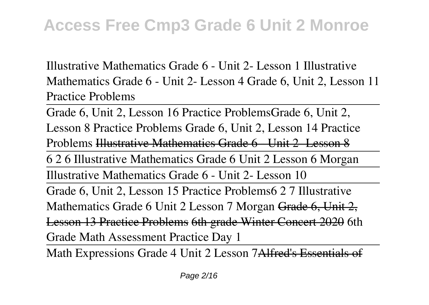*Illustrative Mathematics Grade 6 - Unit 2- Lesson 1* Illustrative Mathematics Grade 6 - Unit 2- Lesson 4 *Grade 6, Unit 2, Lesson 11 Practice Problems*

Grade 6, Unit 2, Lesson 16 Practice Problems**Grade 6, Unit 2, Lesson 8 Practice Problems Grade 6, Unit 2, Lesson 14 Practice Problems** Illustrative Mathematics Grade 6 - Unit 2- Lesson 8 6 2 6 Illustrative Mathematics Grade 6 Unit 2 Lesson 6 Morgan Illustrative Mathematics Grade 6 - Unit 2- Lesson 10 Grade 6, Unit 2, Lesson 15 Practice Problems*6 2 7 Illustrative Mathematics Grade 6 Unit 2 Lesson 7 Morgan* Grade 6, Unit 2, Lesson 13 Practice Problems 6th grade Winter Concert 2020 *6th Grade Math Assessment Practice Day 1*

Math Expressions Grade 4 Unit 2 Lesson 7Alfred's Essentials of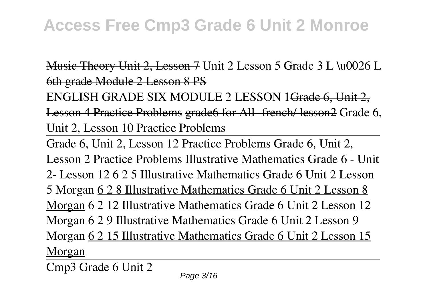Husic Theory Unit 2, Lesson 7 Unit 2 Lesson 5 Grade 3 L \u0026 L 6th grade Module 2 Lesson 8 PS

ENGLISH GRADE SIX MODULE 2 LESSON 1Grade 6, Unit 2, Lesson 4 Practice Problems grade6 for All french/ lesson2 Grade 6, **Unit 2, Lesson 10 Practice Problems**

Grade 6, Unit 2, Lesson 12 Practice Problems Grade 6, Unit 2, Lesson 2 Practice Problems **Illustrative Mathematics Grade 6 - Unit 2- Lesson 12** *6 2 5 Illustrative Mathematics Grade 6 Unit 2 Lesson 5 Morgan* 6 2 8 Illustrative Mathematics Grade 6 Unit 2 Lesson 8 Morgan *6 2 12 Illustrative Mathematics Grade 6 Unit 2 Lesson 12 Morgan 6 2 9 Illustrative Mathematics Grade 6 Unit 2 Lesson 9 Morgan* 6 2 15 Illustrative Mathematics Grade 6 Unit 2 Lesson 15 Morgan

Cmp3 Grade 6 Unit 2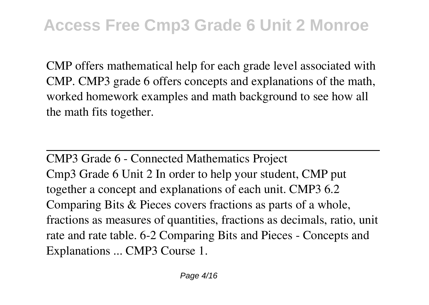CMP offers mathematical help for each grade level associated with CMP. CMP3 grade 6 offers concepts and explanations of the math, worked homework examples and math background to see how all the math fits together.

CMP3 Grade 6 - Connected Mathematics Project Cmp3 Grade 6 Unit 2 In order to help your student, CMP put together a concept and explanations of each unit. CMP3 6.2 Comparing Bits & Pieces covers fractions as parts of a whole, fractions as measures of quantities, fractions as decimals, ratio, unit rate and rate table. 6-2 Comparing Bits and Pieces - Concepts and Explanations ... CMP3 Course 1.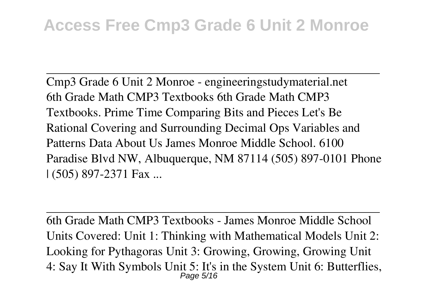Cmp3 Grade 6 Unit 2 Monroe - engineeringstudymaterial.net 6th Grade Math CMP3 Textbooks 6th Grade Math CMP3 Textbooks. Prime Time Comparing Bits and Pieces Let's Be Rational Covering and Surrounding Decimal Ops Variables and Patterns Data About Us James Monroe Middle School. 6100 Paradise Blvd NW, Albuquerque, NM 87114 (505) 897-0101 Phone | (505) 897-2371 Fax ...

6th Grade Math CMP3 Textbooks - James Monroe Middle School Units Covered: Unit 1: Thinking with Mathematical Models Unit 2: Looking for Pythagoras Unit 3: Growing, Growing, Growing Unit 4: Say It With Symbols Unit 5: It's in the System Unit 6: Butterflies, Page 5/16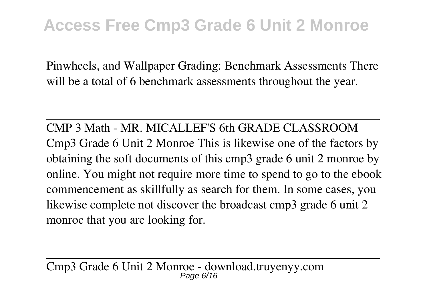Pinwheels, and Wallpaper Grading: Benchmark Assessments There will be a total of 6 benchmark assessments throughout the year.

CMP 3 Math - MR. MICALLEF'S 6th GRADE CLASSROOM Cmp3 Grade 6 Unit 2 Monroe This is likewise one of the factors by obtaining the soft documents of this cmp3 grade 6 unit 2 monroe by online. You might not require more time to spend to go to the ebook commencement as skillfully as search for them. In some cases, you likewise complete not discover the broadcast cmp3 grade 6 unit 2 monroe that you are looking for.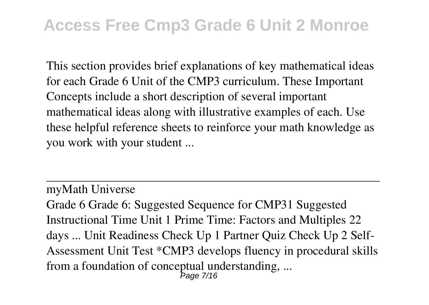This section provides brief explanations of key mathematical ideas for each Grade 6 Unit of the CMP3 curriculum. These Important Concepts include a short description of several important mathematical ideas along with illustrative examples of each. Use these helpful reference sheets to reinforce your math knowledge as you work with your student ...

myMath Universe

Grade 6 Grade 6: Suggested Sequence for CMP31 Suggested Instructional Time Unit 1 Prime Time: Factors and Multiples 22 days ... Unit Readiness Check Up 1 Partner Quiz Check Up 2 Self-Assessment Unit Test \*CMP3 develops fluency in procedural skills from a foundation of conceptual understanding, ... Page 7/16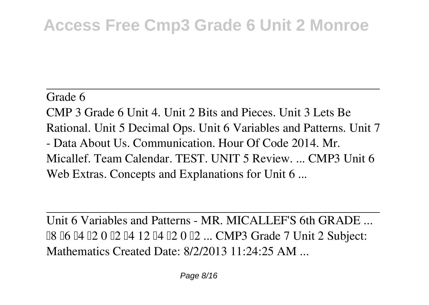Grade 6 CMP 3 Grade 6 Unit 4. Unit 2 Bits and Pieces. Unit 3 Lets Be Rational. Unit 5 Decimal Ops. Unit 6 Variables and Patterns. Unit 7 - Data About Us. Communication. Hour Of Code 2014. Mr. Micallef. Team Calendar. TEST. UNIT 5 Review. ... CMP3 Unit 6 Web Extras. Concepts and Explanations for Unit 6...

Unit 6 Variables and Patterns - MR. MICALLEF'S 6th GRADE ... **□8 □6 □4 □2 0 □2 □4 12 □4 □2 0 □2 ... CMP3 Grade 7 Unit 2 Subject:** Mathematics Created Date: 8/2/2013 11:24:25 AM ...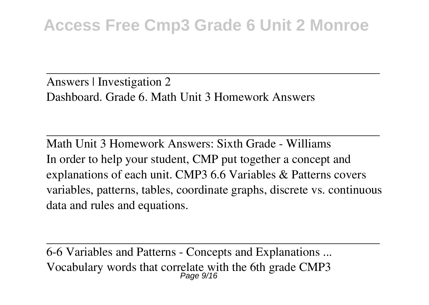Answers | Investigation 2 Dashboard. Grade 6. Math Unit 3 Homework Answers

Math Unit 3 Homework Answers: Sixth Grade - Williams In order to help your student, CMP put together a concept and explanations of each unit. CMP3 6.6 Variables & Patterns covers variables, patterns, tables, coordinate graphs, discrete vs. continuous data and rules and equations.

6-6 Variables and Patterns - Concepts and Explanations ... Vocabulary words that correlate with the 6th grade CMP3 Page 9/16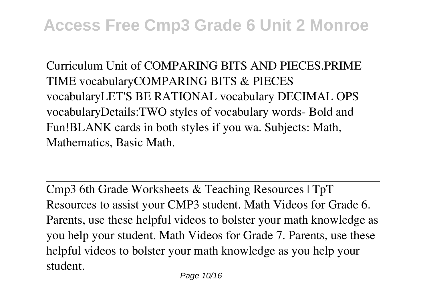Curriculum Unit of COMPARING BITS AND PIECES.PRIME TIME vocabularyCOMPARING BITS & PIECES vocabularyLET'S BE RATIONAL vocabulary DECIMAL OPS vocabularyDetails:TWO styles of vocabulary words- Bold and Fun!BLANK cards in both styles if you wa. Subjects: Math, Mathematics, Basic Math.

Cmp3 6th Grade Worksheets & Teaching Resources | TpT Resources to assist your CMP3 student. Math Videos for Grade 6. Parents, use these helpful videos to bolster your math knowledge as you help your student. Math Videos for Grade 7. Parents, use these helpful videos to bolster your math knowledge as you help your student.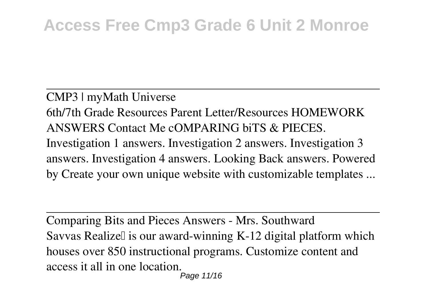CMP3 | myMath Universe 6th/7th Grade Resources Parent Letter/Resources HOMEWORK ANSWERS Contact Me cOMPARING biTS & PIECES. Investigation 1 answers. Investigation 2 answers. Investigation 3 answers. Investigation 4 answers. Looking Back answers. Powered by Create your own unique website with customizable templates ...

Comparing Bits and Pieces Answers - Mrs. Southward Savvas Realize∏ is our award-winning K-12 digital platform which houses over 850 instructional programs. Customize content and access it all in one location.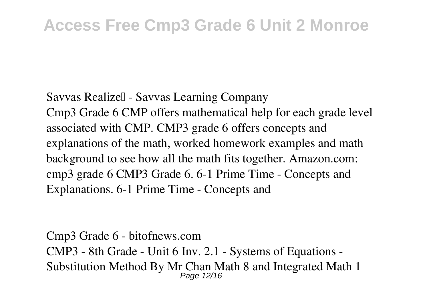Savvas Realize∏ - Savvas Learning Company Cmp3 Grade 6 CMP offers mathematical help for each grade level associated with CMP. CMP3 grade 6 offers concepts and explanations of the math, worked homework examples and math background to see how all the math fits together. Amazon.com: cmp3 grade 6 CMP3 Grade 6. 6-1 Prime Time - Concepts and Explanations. 6-1 Prime Time - Concepts and

Cmp3 Grade 6 - bitofnews.com CMP3 - 8th Grade - Unit 6 Inv. 2.1 - Systems of Equations - Substitution Method By Mr Chan Math 8 and Integrated Math 1 Page 12/16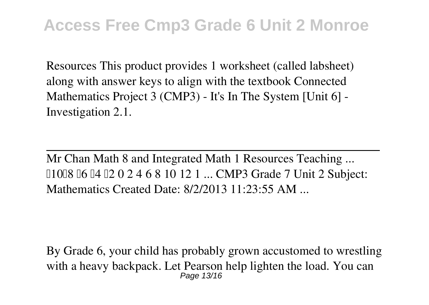Resources This product provides 1 worksheet (called labsheet) along with answer keys to align with the textbook Connected Mathematics Project 3 (CMP3) - It's In The System [Unit 6] - Investigation 2.1.

Mr Chan Math 8 and Integrated Math 1 Resources Teaching ... ˜10˜8 ˜6 ˜4 ˜2 0 2 4 6 8 10 12 1 ... CMP3 Grade 7 Unit 2 Subject: Mathematics Created Date: 8/2/2013 11:23:55 AM ...

By Grade 6, your child has probably grown accustomed to wrestling with a heavy backpack. Let Pearson help lighten the load. You can Page 13/16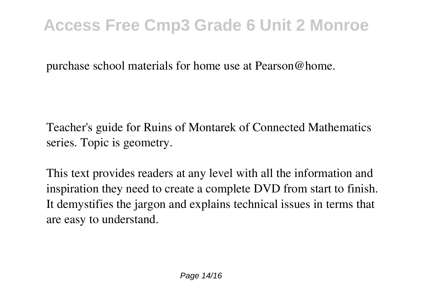purchase school materials for home use at Pearson@home.

Teacher's guide for Ruins of Montarek of Connected Mathematics series. Topic is geometry.

This text provides readers at any level with all the information and inspiration they need to create a complete DVD from start to finish. It demystifies the jargon and explains technical issues in terms that are easy to understand.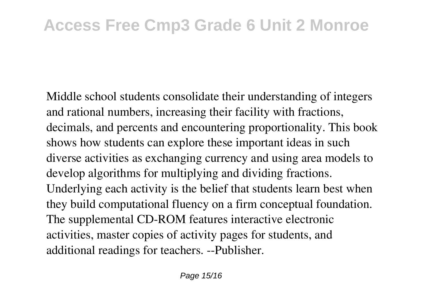Middle school students consolidate their understanding of integers and rational numbers, increasing their facility with fractions, decimals, and percents and encountering proportionality. This book shows how students can explore these important ideas in such diverse activities as exchanging currency and using area models to develop algorithms for multiplying and dividing fractions. Underlying each activity is the belief that students learn best when they build computational fluency on a firm conceptual foundation. The supplemental CD-ROM features interactive electronic activities, master copies of activity pages for students, and additional readings for teachers. --Publisher.